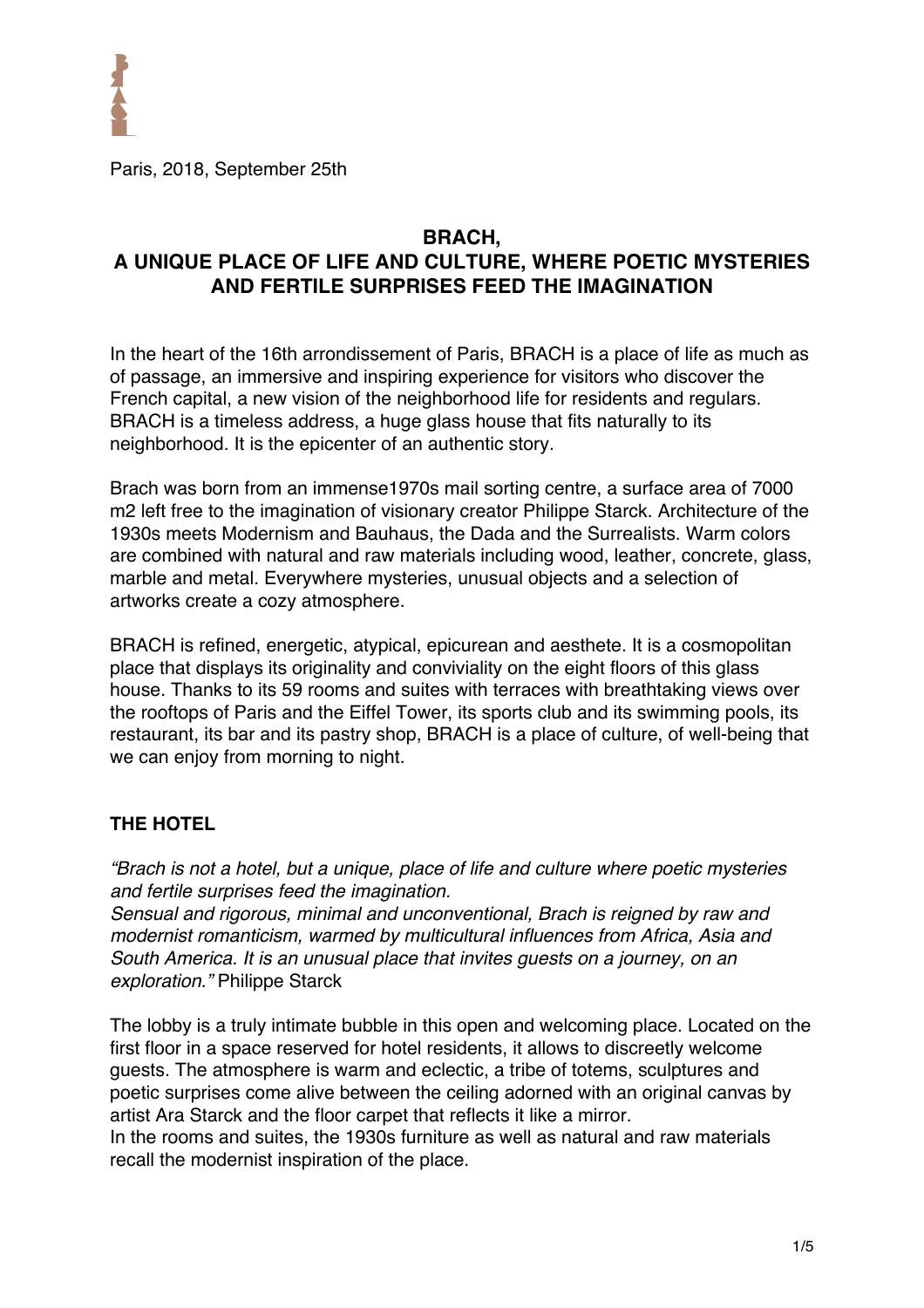

Paris, 2018, September 25th

# **BRACH, A UNIQUE PLACE OF LIFE AND CULTURE, WHERE POETIC MYSTERIES AND FERTILE SURPRISES FEED THE IMAGINATION**

In the heart of the 16th arrondissement of Paris, BRACH is a place of life as much as of passage, an immersive and inspiring experience for visitors who discover the French capital, a new vision of the neighborhood life for residents and regulars. BRACH is a timeless address, a huge glass house that fits naturally to its neighborhood. It is the epicenter of an authentic story.

Brach was born from an immense1970s mail sorting centre, a surface area of 7000 m2 left free to the imagination of visionary creator Philippe Starck. Architecture of the 1930s meets Modernism and Bauhaus, the Dada and the Surrealists. Warm colors are combined with natural and raw materials including wood, leather, concrete, glass, marble and metal. Everywhere mysteries, unusual objects and a selection of artworks create a cozy atmosphere.

BRACH is refined, energetic, atypical, epicurean and aesthete. It is a cosmopolitan place that displays its originality and conviviality on the eight floors of this glass house. Thanks to its 59 rooms and suites with terraces with breathtaking views over the rooftops of Paris and the Eiffel Tower, its sports club and its swimming pools, its restaurant, its bar and its pastry shop, BRACH is a place of culture, of well-being that we can enjoy from morning to night.

## **THE HOTEL**

*"Brach is not a hotel, but a unique, place of life and culture where poetic mysteries and fertile surprises feed the imagination.* 

*Sensual and rigorous, minimal and unconventional, Brach is reigned by raw and modernist romanticism, warmed by multicultural influences from Africa, Asia and South America. It is an unusual place that invites guests on a journey, on an exploration."* Philippe Starck

The lobby is a truly intimate bubble in this open and welcoming place. Located on the first floor in a space reserved for hotel residents, it allows to discreetly welcome guests. The atmosphere is warm and eclectic, a tribe of totems, sculptures and poetic surprises come alive between the ceiling adorned with an original canvas by artist Ara Starck and the floor carpet that reflects it like a mirror. In the rooms and suites, the 1930s furniture as well as natural and raw materials recall the modernist inspiration of the place.

1/5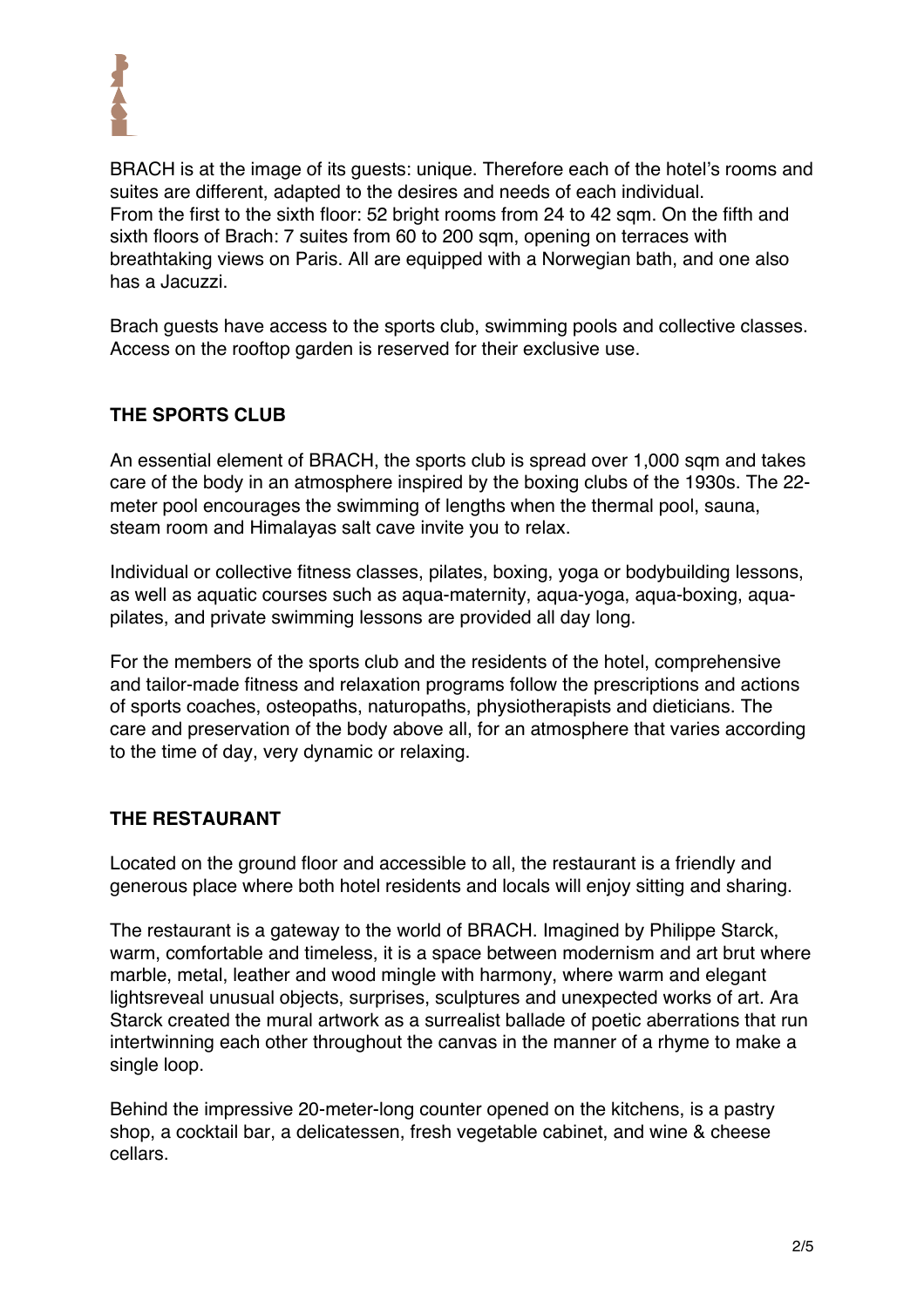

BRACH is at the image of its guests: unique. Therefore each of the hotel's rooms and suites are different, adapted to the desires and needs of each individual. From the first to the sixth floor: 52 bright rooms from 24 to 42 sqm. On the fifth and sixth floors of Brach: 7 suites from 60 to 200 sqm, opening on terraces with breathtaking views on Paris. All are equipped with a Norwegian bath, and one also has a Jacuzzi.

Brach guests have access to the sports club, swimming pools and collective classes. Access on the rooftop garden is reserved for their exclusive use.

## **THE SPORTS CLUB**

An essential element of BRACH, the sports club is spread over 1,000 sqm and takes care of the body in an atmosphere inspired by the boxing clubs of the 1930s. The 22 meter pool encourages the swimming of lengths when the thermal pool, sauna, steam room and Himalayas salt cave invite you to relax.

Individual or collective fitness classes, pilates, boxing, yoga or bodybuilding lessons, as well as aquatic courses such as aqua-maternity, aqua-yoga, aqua-boxing, aquapilates, and private swimming lessons are provided all day long.

For the members of the sports club and the residents of the hotel, comprehensive and tailor-made fitness and relaxation programs follow the prescriptions and actions of sports coaches, osteopaths, naturopaths, physiotherapists and dieticians. The care and preservation of the body above all, for an atmosphere that varies according to the time of day, very dynamic or relaxing.

### **THE RESTAURANT**

Located on the ground floor and accessible to all, the restaurant is a friendly and generous place where both hotel residents and locals will enjoy sitting and sharing.

The restaurant is a gateway to the world of BRACH. Imagined by Philippe Starck, warm, comfortable and timeless, it is a space between modernism and art brut where marble, metal, leather and wood mingle with harmony, where warm and elegant lightsreveal unusual objects, surprises, sculptures and unexpected works of art. Ara Starck created the mural artwork as a surrealist ballade of poetic aberrations that run intertwinning each other throughout the canvas in the manner of a rhyme to make a single loop.

Behind the impressive 20-meter-long counter opened on the kitchens, is a pastry shop, a cocktail bar, a delicatessen, fresh vegetable cabinet, and wine & cheese cellars.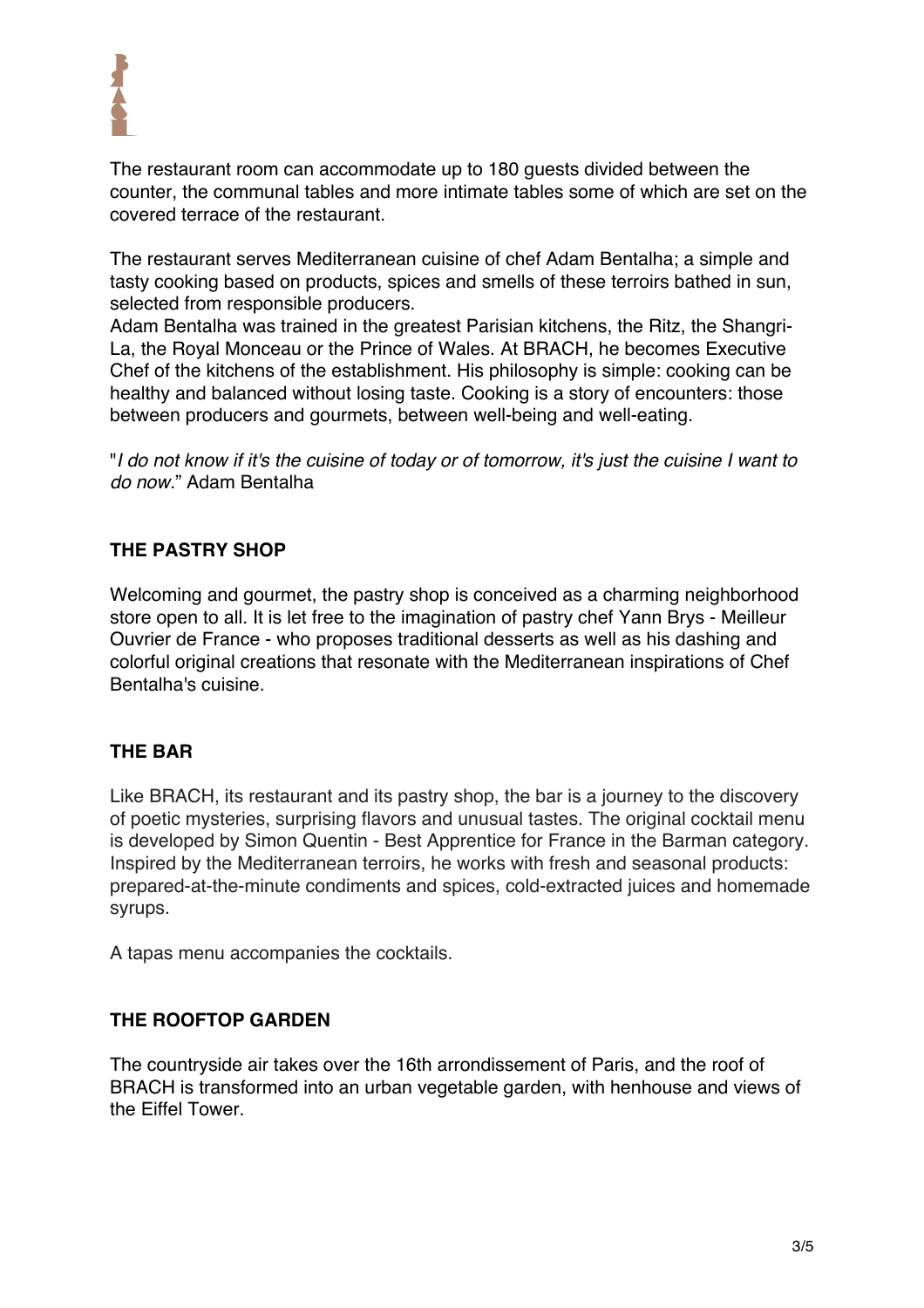

The restaurant room can accommodate up to 180 guests divided between the counter, the communal tables and more intimate tables some of which are set on the covered terrace of the restaurant.

The restaurant serves Mediterranean cuisine of chef Adam Bentalha; a simple and tasty cooking based on products, spices and smells of these terroirs bathed in sun, selected from responsible producers.

Adam Bentalha was trained in the greatest Parisian kitchens, the Ritz, the Shangri-La, the Royal Monceau or the Prince of Wales. At BRACH, he becomes Executive Chef of the kitchens of the establishment. His philosophy is simple: cooking can be healthy and balanced without losing taste. Cooking is a story of encounters: those between producers and gourmets, between well-being and well-eating.

"*I do not know if it's the cuisine of today or of tomorrow, it's just the cuisine I want to do now.*" Adam Bentalha

## **THE PASTRY SHOP**

Welcoming and gourmet, the pastry shop is conceived as a charming neighborhood store open to all. It is let free to the imagination of pastry chef Yann Brys - Meilleur Ouvrier de France - who proposes traditional desserts as well as his dashing and colorful original creations that resonate with the Mediterranean inspirations of Chef Bentalha's cuisine.

### **THE BAR**

Like BRACH, its restaurant and its pastry shop, the bar is a journey to the discovery of poetic mysteries, surprising flavors and unusual tastes. The original cocktail menu is developed by Simon Quentin - Best Apprentice for France in the Barman category. Inspired by the Mediterranean terroirs, he works with fresh and seasonal products: prepared-at-the-minute condiments and spices, cold-extracted juices and homemade syrups.

A tapas menu accompanies the cocktails.

### **THE ROOFTOP GARDEN**

The countryside air takes over the 16th arrondissement of Paris, and the roof of BRACH is transformed into an urban vegetable garden, with henhouse and views of the Eiffel Tower.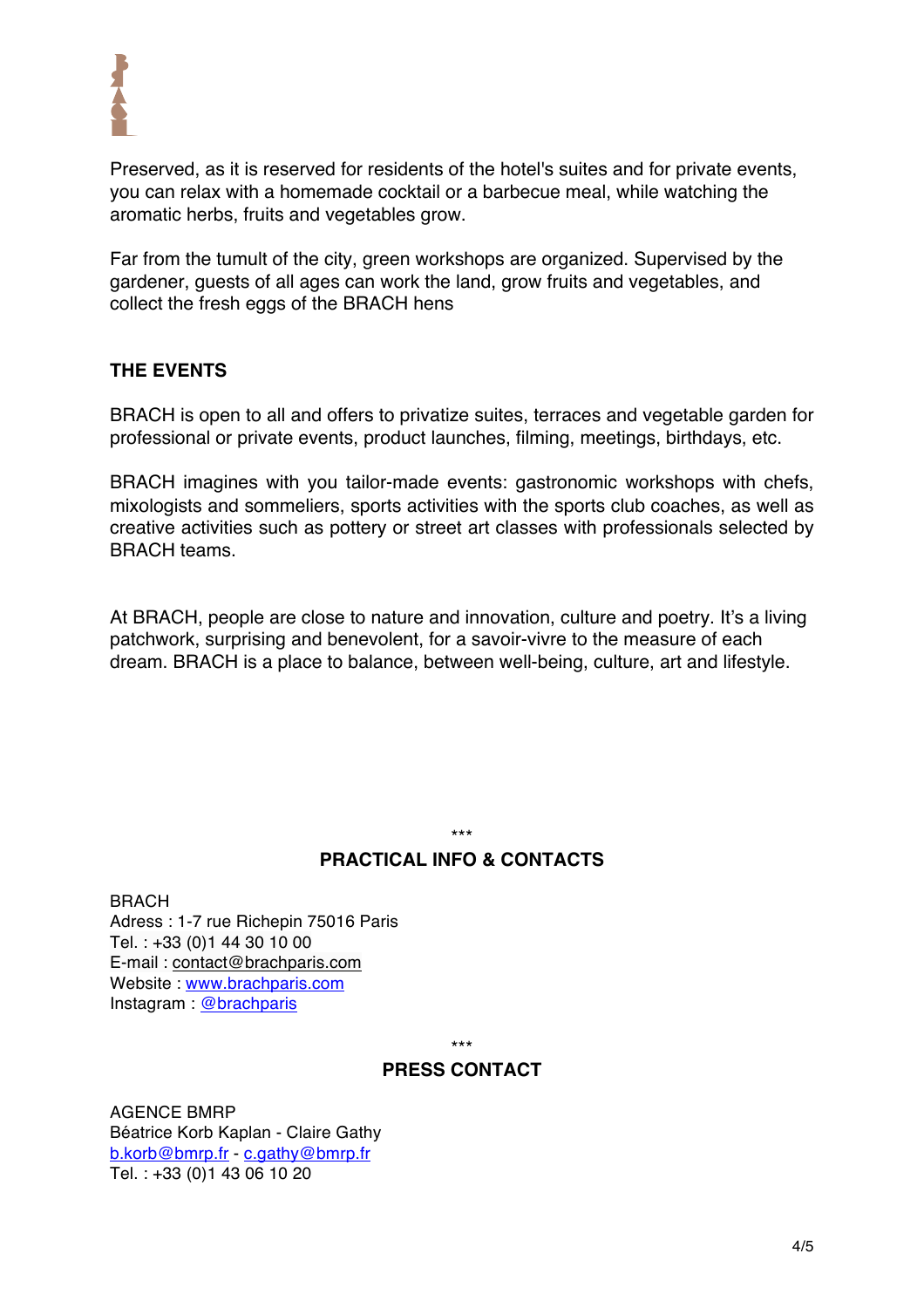

Preserved, as it is reserved for residents of the hotel's suites and for private events, you can relax with a homemade cocktail or a barbecue meal, while watching the aromatic herbs, fruits and vegetables grow.

Far from the tumult of the city, green workshops are organized. Supervised by the gardener, guests of all ages can work the land, grow fruits and vegetables, and collect the fresh eggs of the BRACH hens

## **THE EVENTS**

BRACH is open to all and offers to privatize suites, terraces and vegetable garden for professional or private events, product launches, filming, meetings, birthdays, etc.

BRACH imagines with you tailor-made events: gastronomic workshops with chefs, mixologists and sommeliers, sports activities with the sports club coaches, as well as creative activities such as pottery or street art classes with professionals selected by BRACH teams.

At BRACH, people are close to nature and innovation, culture and poetry. It's a living patchwork, surprising and benevolent, for a savoir-vivre to the measure of each dream. BRACH is a place to balance, between well-being, culture, art and lifestyle.

# \*\*\*

### **PRACTICAL INFO & CONTACTS**

BRACH Adress : 1-7 rue Richepin 75016 Paris Tel. : +33 (0)1 44 30 10 00 E-mail : contact@brachparis.com Website : www.brachparis.com Instagram : @brachparis

\*\*\*

### **PRESS CONTACT**

AGENCE BMRP Béatrice Korb Kaplan - Claire Gathy b.korb@bmrp.fr - c.gathy@bmrp.fr Tel. : +33 (0)1 43 06 10 20